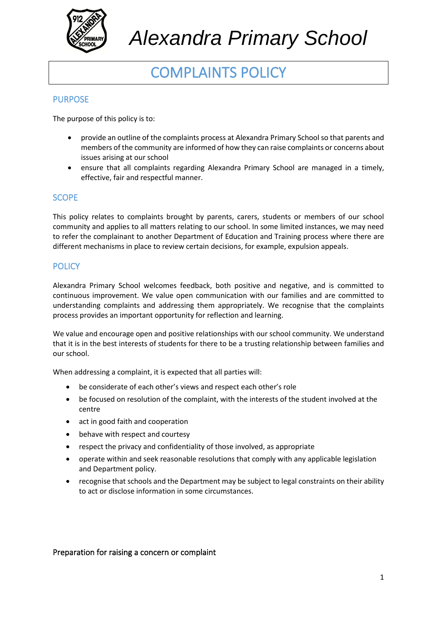

# COMPLAINTS POLICY

# **PURPOSE**

The purpose of this policy is to:

- provide an outline of the complaints process at Alexandra Primary School so that parents and members of the community are informed of how they can raise complaints or concerns about issues arising at our school
- ensure that all complaints regarding Alexandra Primary School are managed in a timely, effective, fair and respectful manner.

### **SCOPE**

This policy relates to complaints brought by parents, carers, students or members of our school community and applies to all matters relating to our school. In some limited instances, we may need to refer the complainant to another Department of Education and Training process where there are different mechanisms in place to review certain decisions, for example, expulsion appeals.

# **POLICY**

Alexandra Primary School welcomes feedback, both positive and negative, and is committed to continuous improvement. We value open communication with our families and are committed to understanding complaints and addressing them appropriately. We recognise that the complaints process provides an important opportunity for reflection and learning.

We value and encourage open and positive relationships with our school community. We understand that it is in the best interests of students for there to be a trusting relationship between families and our school.

When addressing a complaint, it is expected that all parties will:

- be considerate of each other's views and respect each other's role
- be focused on resolution of the complaint, with the interests of the student involved at the centre
- act in good faith and cooperation
- behave with respect and courtesy
- respect the privacy and confidentiality of those involved, as appropriate
- operate within and seek reasonable resolutions that comply with any applicable legislation and Department policy.
- recognise that schools and the Department may be subject to legal constraints on their ability to act or disclose information in some circumstances.

#### Preparation for raising a concern or complaint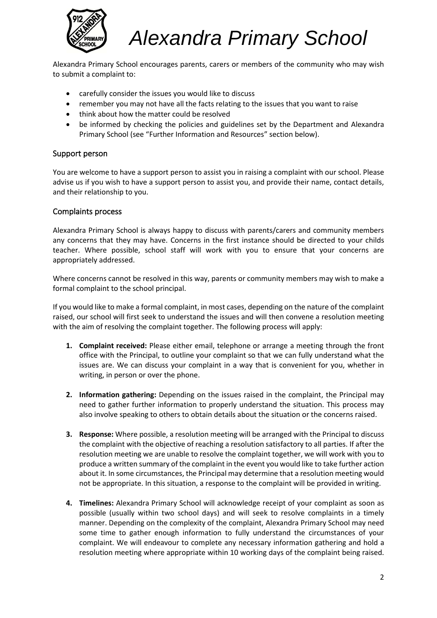

Alexandra Primary School encourages parents, carers or members of the community who may wish to submit a complaint to:

- carefully consider the issues you would like to discuss
- remember you may not have all the facts relating to the issues that you want to raise
- think about how the matter could be resolved
- be informed by checking the policies and guidelines set by the Department and Alexandra Primary School (see "Further Information and Resources" section below).

#### Support person

You are welcome to have a support person to assist you in raising a complaint with our school. Please advise us if you wish to have a support person to assist you, and provide their name, contact details, and their relationship to you.

#### Complaints process

Alexandra Primary School is always happy to discuss with parents/carers and community members any concerns that they may have. Concerns in the first instance should be directed to your childs teacher. Where possible, school staff will work with you to ensure that your concerns are appropriately addressed.

Where concerns cannot be resolved in this way, parents or community members may wish to make a formal complaint to the school principal.

If you would like to make a formal complaint, in most cases, depending on the nature of the complaint raised, our school will first seek to understand the issues and will then convene a resolution meeting with the aim of resolving the complaint together. The following process will apply:

- **1. Complaint received:** Please either email, telephone or arrange a meeting through the front office with the Principal, to outline your complaint so that we can fully understand what the issues are. We can discuss your complaint in a way that is convenient for you, whether in writing, in person or over the phone.
- **2. Information gathering:** Depending on the issues raised in the complaint, the Principal may need to gather further information to properly understand the situation. This process may also involve speaking to others to obtain details about the situation or the concerns raised.
- **3. Response:** Where possible, a resolution meeting will be arranged with the Principal to discuss the complaint with the objective of reaching a resolution satisfactory to all parties. If after the resolution meeting we are unable to resolve the complaint together, we will work with you to produce a written summary of the complaint in the event you would like to take further action about it. In some circumstances, the Principal may determine that a resolution meeting would not be appropriate. In this situation, a response to the complaint will be provided in writing.
- **4. Timelines:** Alexandra Primary School will acknowledge receipt of your complaint as soon as possible (usually within two school days) and will seek to resolve complaints in a timely manner. Depending on the complexity of the complaint, Alexandra Primary School may need some time to gather enough information to fully understand the circumstances of your complaint. We will endeavour to complete any necessary information gathering and hold a resolution meeting where appropriate within 10 working days of the complaint being raised.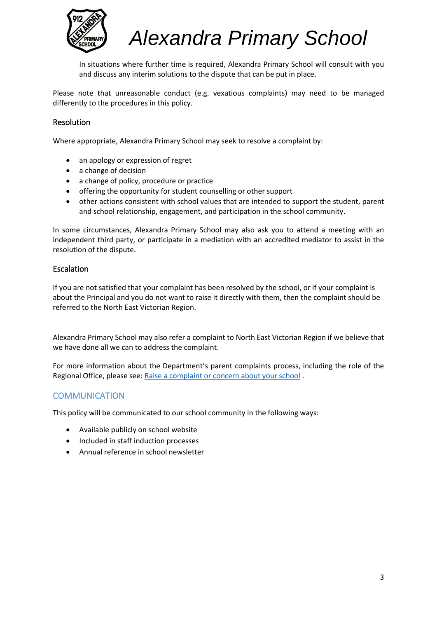

In situations where further time is required, Alexandra Primary School will consult with you and discuss any interim solutions to the dispute that can be put in place.

Please note that unreasonable conduct (e.g. vexatious complaints) may need to be managed differently to the procedures in this policy.

#### Resolution

Where appropriate, Alexandra Primary School may seek to resolve a complaint by:

- an apology or expression of regret
- a change of decision
- a change of policy, procedure or practice
- offering the opportunity for student counselling or other support
- other actions consistent with school values that are intended to support the student, parent and school relationship, engagement, and participation in the school community.

In some circumstances, Alexandra Primary School may also ask you to attend a meeting with an independent third party, or participate in a mediation with an accredited mediator to assist in the resolution of the dispute.

#### Escalation

If you are not satisfied that your complaint has been resolved by the school, or if your complaint is about the Principal and you do not want to raise it directly with them, then the complaint should be referred to the North East Victorian Region.

Alexandra Primary School may also refer a complaint to North East Victorian Region if we believe that we have done all we can to address the complaint.

For more information about the Department's parent complaints process, including the role of the Regional Office, please see: [Raise a complaint or concern about your school](https://www.education.vic.gov.au/parents/going-to-school/Pages/school-complaints.aspx#policy) .

### **COMMUNICATION**

This policy will be communicated to our school community in the following ways:

- Available publicly on school website
- Included in staff induction processes
- Annual reference in school newsletter